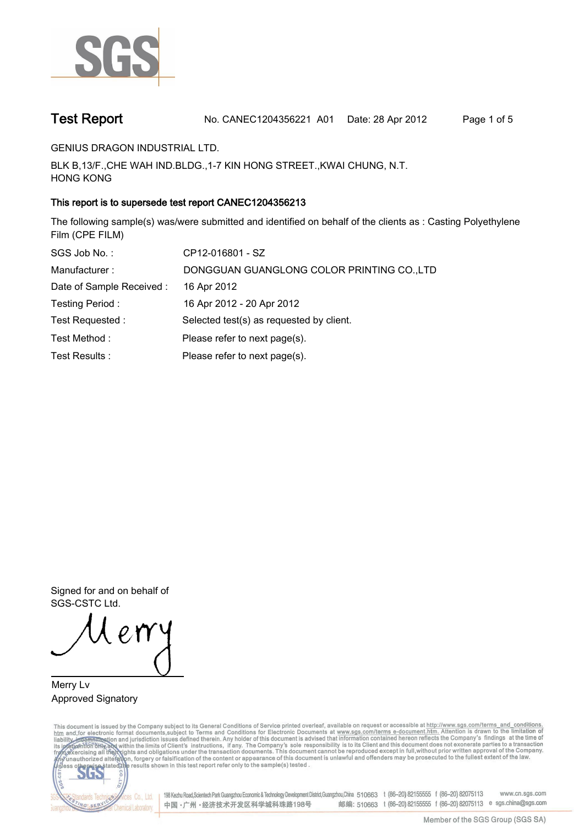

**Test Report. No. CANEC1204356221 A01 Date: 28 Apr 2012. Page 1 of 5.**

**GENIUS DRAGON INDUSTRIAL LTD..**

**BLK B,13/F.,CHE WAH IND.BLDG.,1-7 KIN HONG STREET.,KWAI CHUNG, N.T. HONG KONG.**

# **This report is to supersede test report CANEC1204356213.**

**The following sample(s) was/were submitted and identified on behalf of the clients as : Casting Polyethylene Film (CPE FILM).**

| SGS Job No.:              | CP12-016801 - SZ                           |
|---------------------------|--------------------------------------------|
| Manufacturer:             | DONGGUAN GUANGLONG COLOR PRINTING CO., LTD |
| Date of Sample Received : | 16 Apr 2012                                |
| Testing Period:           | 16 Apr 2012 - 20 Apr 2012                  |
| Test Requested :          | Selected test(s) as requested by client.   |
| Test Method:              | Please refer to next page(s).              |
| Test Results :            | Please refer to next page(s).              |

**Signed for and on behalf of SGS-CSTC Ltd..**

**Merry Lv. Approved Signatory.**

This document is issued by the Company subject to its General Conditions of Service printed overleaf, available on request or accessible at http://www.sgs.com/terms\_and\_conditions.<br>htm\_and, for electronic format documents,



198 Kezhu Road,Scientech Park Guangzhou Economic & Technology Development District,Guangzhou,China 510663 t (86-20) 82155555 f (86-20) 82075113 www.cn.sgs.com 邮编: 510663 t (86-20) 82155555 f (86-20) 82075113 e sgs.china@sgs.com 中国·广州·经济技术开发区科学城科珠路198号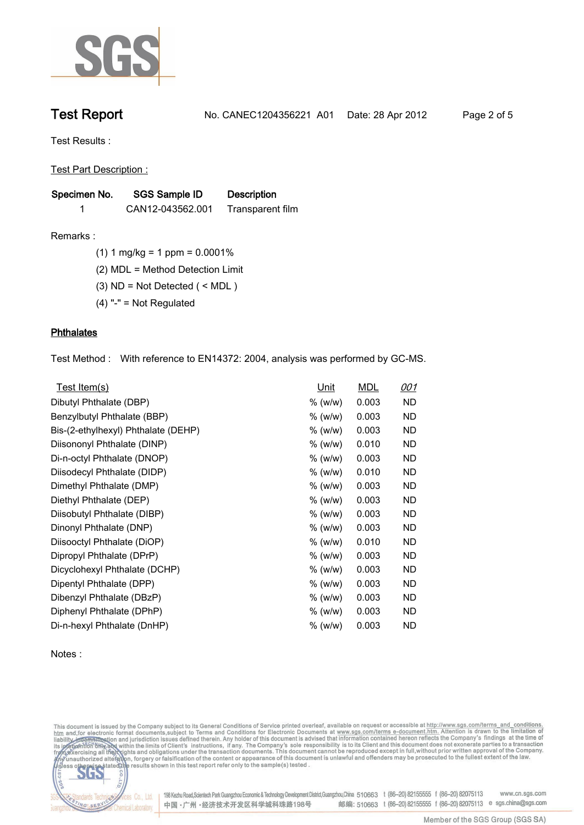

**Test Report. No. CANEC1204356221 A01 Date: 28 Apr 2012. Page 2 of 5.**

**Test Results :.**

**Test Part Description :.**

| Specimen No. | <b>SGS Sample ID</b> | <b>Description</b> |  |
|--------------|----------------------|--------------------|--|
|              | CAN12-043562.001     | Transparent film   |  |

**Remarks :.(1) 1 mg/kg = 1 ppm = 0.0001%.**

**(2) MDL = Method Detection Limit.**

**(3) ND = Not Detected ( < MDL ).**

**(4) "-" = Not Regulated.**

# **Phthalates.**

**Test Method :. With reference to EN14372: 2004, analysis was performed by GC-MS..**

| Test Item(s)                        | <u>Unit</u> | <b>MDL</b> | <u>001</u> |
|-------------------------------------|-------------|------------|------------|
| Dibutyl Phthalate (DBP)             | % (w/w)     | 0.003      | ND         |
| Benzylbutyl Phthalate (BBP)         | % (w/w)     | 0.003      | ND         |
| Bis-(2-ethylhexyl) Phthalate (DEHP) | % (w/w)     | 0.003      | ND         |
| Diisononyl Phthalate (DINP)         | % (w/w)     | 0.010      | ND         |
| Di-n-octyl Phthalate (DNOP)         | % (w/w)     | 0.003      | ND         |
| Diisodecyl Phthalate (DIDP)         | % (w/w)     | 0.010      | ND         |
| Dimethyl Phthalate (DMP)            | % (w/w)     | 0.003      | <b>ND</b>  |
| Diethyl Phthalate (DEP)             | $%$ (w/w)   | 0.003      | ND         |
| Diisobutyl Phthalate (DIBP)         | % (w/w)     | 0.003      | ND         |
| Dinonyl Phthalate (DNP)             | % (w/w)     | 0.003      | <b>ND</b>  |
| Diisooctyl Phthalate (DiOP)         | % (w/w)     | 0.010      | ND         |
| Dipropyl Phthalate (DPrP)           | % (w/w)     | 0.003      | ND         |
| Dicyclohexyl Phthalate (DCHP)       | $%$ (w/w)   | 0.003      | ND.        |
| Dipentyl Phthalate (DPP)            | $%$ (w/w)   | 0.003      | ND.        |
| Dibenzyl Phthalate (DBzP)           | $%$ (w/w)   | 0.003      | ND.        |
| Diphenyl Phthalate (DPhP)           | % (w/w)     | 0.003      | ND         |
| Di-n-hexyl Phthalate (DnHP)         | $%$ (w/w)   | 0.003      | ND         |

## **Notes :.**

This document is issued by the Company subject to its General Conditions of Service printed overleaf, available on request or accessible at http://www.sgs.com/terms\_and\_conditions.<br>htm\_and, for electronic format documents,



198 Kezhu Road, Scientech Park Guangzhou Economic & Technology Development District, Guangzhou, China 510663 t (86-20) 82155555 f (86-20) 82075113 www.cn.sgs.com 邮编: 510663 t (86-20) 82155555 f (86-20) 82075113 e sgs.china@sgs.com 中国·广州·经济技术开发区科学城科珠路198号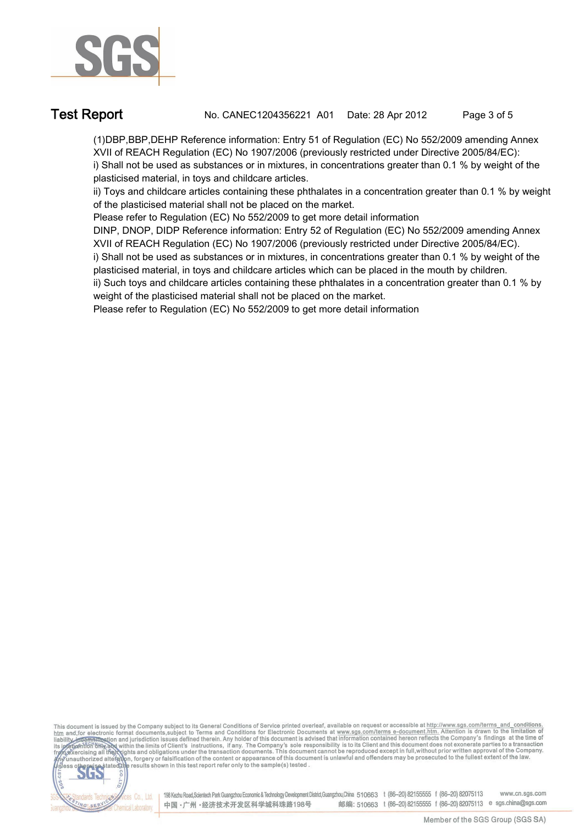

**Test Report. No. CANEC1204356221 A01 Date: 28 Apr 2012. Page 3 of 5.**

**(1)DBP,BBP,DEHP Reference information: Entry 51 of Regulation (EC) No 552/2009 amending Annex XVII of REACH Regulation (EC) No 1907/2006 (previously restricted under Directive 2005/84/EC): i) Shall not be used as substances or in mixtures, in concentrations greater than 0.1 % by weight of the plasticised material, in toys and childcare articles.** 

**ii) Toys and childcare articles containing these phthalates in a concentration greater than 0.1 % by weight of the plasticised material shall not be placed on the market.** 

**Please refer to Regulation (EC) No 552/2009 to get more detail information**

**DINP, DNOP, DIDP Reference information: Entry 52 of Regulation (EC) No 552/2009 amending Annex XVII of REACH Regulation (EC) No 1907/2006 (previously restricted under Directive 2005/84/EC).** 

**i) Shall not be used as substances or in mixtures, in concentrations greater than 0.1 % by weight of the plasticised material, in toys and childcare articles which can be placed in the mouth by children.** 

**ii) Such toys and childcare articles containing these phthalates in a concentration greater than 0.1 % by weight of the plasticised material shall not be placed on the market.** 

**Please refer to Regulation (EC) No 552/2009 to get more detail information.**

This document is issued by the Company subject to its General Conditions of Service printed overleaf, available on request or accessible at http://www.sgs.com/terms\_and\_conditions.<br>htm\_and,for electronic format documents,s



198 Kezhu Road, Scientech Park Guangzhou Economic & Technology Development District, Guangzhou, China 510663 t (86-20) 82155555 f (86-20) 82075113 www.cn.sgs.com 邮编: 510663 t (86-20) 82155555 f (86-20) 82075113 e sgs.china@sgs.com 中国·广州·经济技术开发区科学城科珠路198号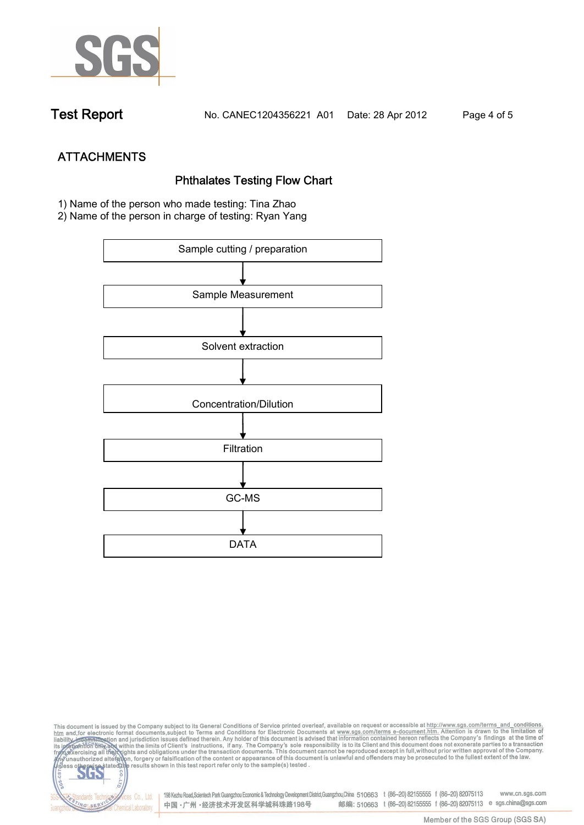

**Test Report. No. CANEC1204356221 A01 Date: 28 Apr 2012. Page 4 of 5.**

**ATTACHMENTS Phthalates Testing Flow Chart 1)** Name of the person who made testing: **Tina Zhao**

**2)** Name of the person in charge of testing: **Ryan Yang**



This document is issued by the Company subject to its General Conditions of Service printed overleaf, available on request or accessible at http://www.sgs.com/terms\_and\_conditions.<br>htm\_and,for electronic format documents,s co **202** 198 Kezhu Road,Scientech Park Guangzhou Economic & Technology Development District,Guangzhou,China 510663 t (86-20) 82155555 f (86-20) 82075113 www.cn.sgs.com dards Ter vices Co., Ltd. 邮编: 510663 t (86-20) 82155555 f (86-20) 82075113 e sgs.china@sgs.com 中国·广州·经济技术开发区科学城科珠路198号 NG SER **Chemical Laboratory**